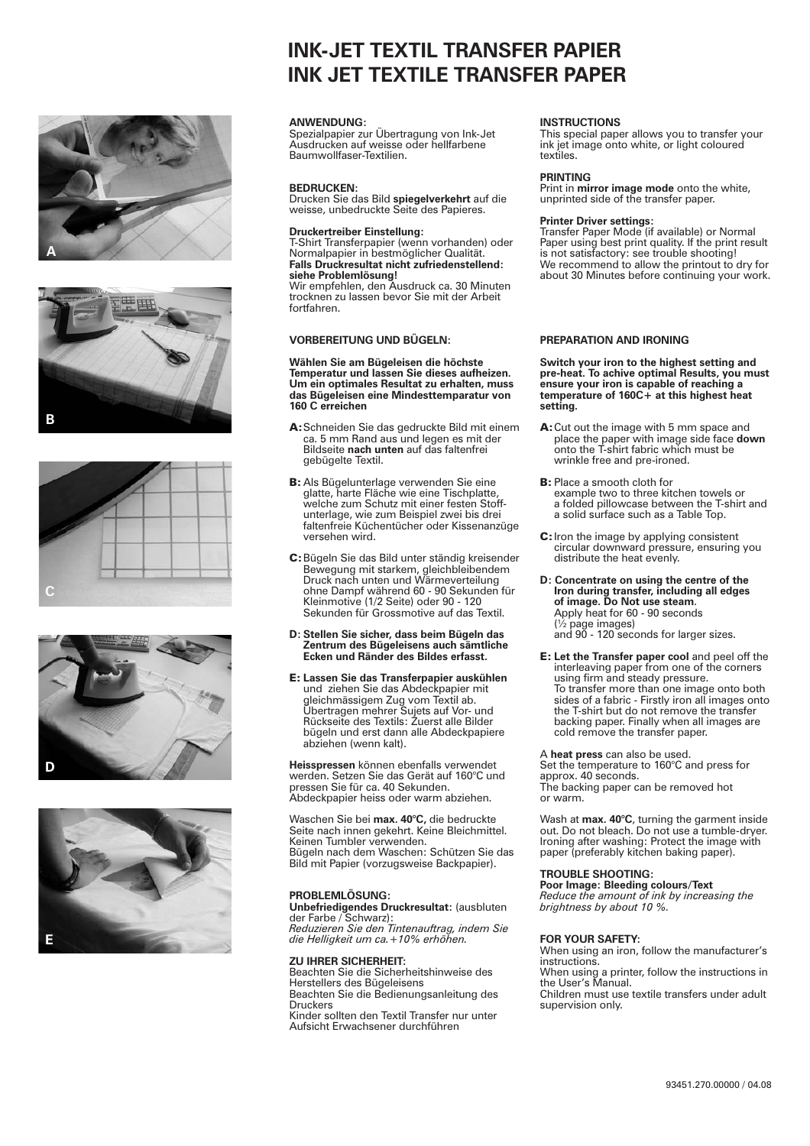









# **INK-JET TEXTIL TRANSFER PAPIER INK JET TEXTILE TRANSFER PAPER**

#### **ANWENDUNG:**

Spezialpapier zur Übertragung von Ink-Jet Ausdrucken auf weisse oder hellfarbene Baumwollfaser-Textilien.

#### **BEDRUCKEN:**

Drucken Sie das Bild spiegelverkehrt auf die weisse, unbedruckte Seite des Papieres.

#### **Druckertreiber Einstellung:**

**Falls Druckresultat nicht zufriedenstellend: siehe Problemlösung!** T-Shirt Transferpapier (wenn vorhanden) oder Normalpapier in bestmöglicher Qualität.

Wir empfehlen, den Ausdruck ca. 30 Minuten trocknen zu lassen bevor Sie mit der Arbeit fortfahren.

#### **VORBEREITUNG UND BÜGELN:**

#### **Wählen Sie am Bügeleisen die höchste Temperatur und lassen Sie dieses aufheizen. Um ein optimales Resultat zu erhalten, muss das Bügeleisen eine Mindesttemparatur von 160 C erreichen**

- Bildseite nach unten auf das faltenfrei A: Schneiden Sie das gedruckte Bild mit einem ca. 5 mm Rand aus und legen es mit der gebügelte Textil.
- B: Als Bügelunterlage verwenden Sie eine glatte, harte Fläche wie eine Tischplatte, welche zum Schutz mit einer festen Stoffunterlage, wie zum Beispiel zwei bis drei faltenfreie Küchentücher oder Kissenanzüge versehen wird.
- C: Bügeln Sie das Bild unter ständig kreisender Bewegung mit starkem, gleichbleibendem Druck nach unten und Wärmeverteilung ohne Dampf während 60 - 90 Sekunden für Kleinmotive (1/2 Seite) oder 90 - 120 Sekunden für Grossmotive auf das Textil.
- **D: Stellen Sie sicher, dass beim Bügeln das Zentrum des Bügeleisens auch sämtliche Ecken und Ränder des Bildes erfasst.**
- **Lassen Sie das Transferpapier auskühlen** E: Lassen Sie das Transierpapier mit gleichmässigem Zug vom Textil ab. Übertragen mehrer Sujets auf Vor- und Rückseite des Textils: Zuerst alle Bilder bügeln und erst dann alle Abdeckpapiere abziehen (wenn kalt).

**Heisspressen** können ebenfalls verwendet werden. Setzen Sie das Gerät auf 160°C und pressen Sie für ca. 40 Sekunden. Abdeckpapier heiss oder warm abziehen.

Waschen Sie bei **max. 40°C,** die bedruckte Seite nach innen gekehrt. Keine Bleichmittel. Keinen Tumbler verwenden. Bügeln nach dem Waschen: Schützen Sie das Bild mit Papier (vorzugsweise Backpapier).

**PROBLEMLOSUNG:<br><b>Unbefriedigendes Druckresultat:** (ausbluten<br>der Farbe / Schwarz):

*Reduzieren Sie den Tintenauftrag, indem Sie die Helligkeit um ca.+10% erhöhen.*

#### **ZU IHRER SICHERHEIT:**

Beachten Sie die Sicherheitshinweise des Herstellers des Bügeleisens Beachten Sie die Bedienungsanleitung des **Druckers** Kinder sollten den Textil Transfer nur unter Aufsicht Erwachsener durchführen

#### **INSTRUCTIONS**

This special paper allows you to transfer your ink jet image onto white, or light coloured textiles.

#### **PRINTING**

Print in **mirror image mode** onto the white, unprinted side of the transfer paper.

#### **Printer Driver settings:**

Transfer Paper Mode (if available) or Normal Paper using best print quality. If the print result is not satisfactory: see trouble shooting! We recommend to allow the printout to dry for about 30 Minutes before continuing your work.

#### **PREPARATION AND IRONING**

**Switch your iron to the highest setting and pre-heat. To achive optimal Results, you must ensure your iron is capable of reaching a temperature of 160C+ at this highest heat setting.**

- place the paper with image side face **down**<br>onto the T-shirt fabric which must be A: Cut out the image with 5 mm space and wrinkle free and pre-ironed.
- example two to three kitchen towels or a folded pillowcase between the T-shirt and a solid surface such as a Table Top. **B:** Place a smooth cloth for
- C: Iron the image by applying consistent circular downward pressure, ensuring you distribute the heat evenly.
- **D: Concentrate on using the centre of the Iron during transfer, including all edges of image. Do Not use steam** . Apply heat for 60 - 90 seconds (½ page images) and 90 - 120 seconds for larger sizes.
- **E:** Let the Transfer paper cool and peel off the interleaving paper from one of the corners using firm and steady pressure. To transfer more than one image onto both sides of a fabric - Firstly iron all images onto the T-shirt but do not remove the transfer backing paper. Finally when all images are cold remove the transfer paper.

A **heat press** can also be used. Set the temperature to 160°C and press for approx. 40 seconds. The backing paper can be removed hot or warm.

Wash at **max. 40°C**, turning the garment inside<br>out. Do not bleach. Do not use a tumble-dryer.<br>Ironing after washing: Protect the image with<br>paper (preferably kitchen baking paper).

#### **TROUBLE SHOOTING:**

**Poor Image: Bleeding colours/Text** *Reduce the amount of ink by increasing the brightness by about 10 %.*

#### **FOR YOUR SAFETY:**

When using an iron, follow the manufacturer's instructions.

When using a printer, follow the instructions in the User's Manual.

Children must use textile transfers under adult supervision only.